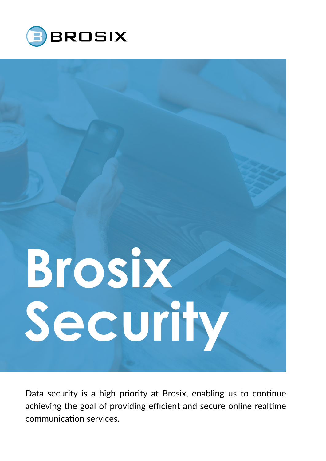



Data security is a high priority at Brosix, enabling us to con nue achieving the goal of providing efficient and secure online real me communication services.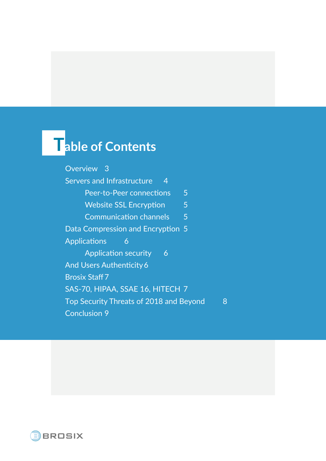### **Table of Contents**

[Overview](#page-2-0) 3 Servers and Infrastructure 4 [Peer-to-Peer connections](#page-4-0) 5 [Website SSL Encryption](#page-4-0) 5 [Communication channels](#page-4-0) 5 [Data Compression and Encryption](#page-4-0) 5 [Applications](#page-5-0) 6 [Application security 6](#page-5-0) And Users Authenticity 6 [Brosix Staff7](#page-6-0) [SAS-70, HIPAA, SSAE 16, HITECH](#page-6-0) 7 Top Security Threats of 2018 and Beyond 8 C[onclusion](#page-8-0) 9

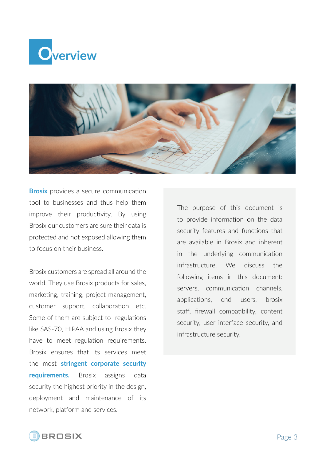<span id="page-2-0"></span>



**Brosix** provides a secure communication tool to businesses and thus help them improve their productivity. By using Brosix our customers are sure their data is protected and not exposed allowing them to focus on their business.

Brosix customers are spread all around the world. They use Brosix products for sales, marketing, training, project management, customer support, collaboration etc. Some of them are subject to regulations like SAS-70, HIPAA and using Brosix they have to meet regulation requirements. Brosix ensures that its services meet the most **stringent corporate security requirements.** Brosix assigns data security the highest priority in the design, deployment and maintenance of its network, platform and services.

The purpose of this document is to provide information on the data security features and functions that are available in Brosix and inherent in the underlying communication infrastructure. We discuss the following items in this document: servers, communication channels, applications, end users, brosix staff, firewall compatibility, content security, user interface security, and infrastructure security.

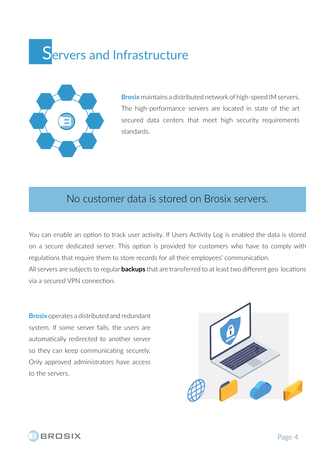### <span id="page-3-0"></span>**Servers and Infrastructure**



**Brosix** maintains a distributed network of high-speed IM servers. The high-performance servers are located in state of the art secured data centers that meet high security requirements standards.

### No customer data is stored on Brosix servers.

You can enable an option to track user activity. If Users Activity Log is enabled the data is stored on a secure dedicated server. This option is provided for customers who have to comply with regulations that require them to store records for all their employees' communication. All servers are subjects to regular **backups** that are transferred to at least two different geo locations via a secured VPN connection.

**Brosix** operates a distributed and redundant system. If some server fails, the users are automatically redirected to another server so they can keep communicating securely. Only approved administrators have access to the servers.



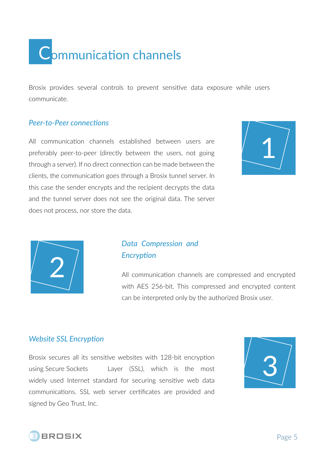<span id="page-4-0"></span>

Brosix provides several controls to prevent sensitive data exposure while users communicate.

#### *Peer-to-Peer connections*

All communication channels established between users are preferably peer-to-peer (directly between the users, not going through a server). If no direct connection can be made between the clients, the communication goes through a Brosix tunnel server. In this case the sender encrypts and the recipient decrypts the data and the tunnel server does not see the original data. The server does not process, nor store the data.





#### *Data Compression and Encryption*

All communication channels are compressed and encrypted with AES 256-bit. This compressed and encrypted content can be interpreted only by the authorized Brosix user.

#### *Website SSL Encryption*

Brosix secures all its sensitive websites with 128-bit encryption using Secure Sockets Layer (SSL), which is the most widely used Internet standard for securing sensitive web data communications. SSL web server certificates are provided and signed by Geo Trust, Inc.



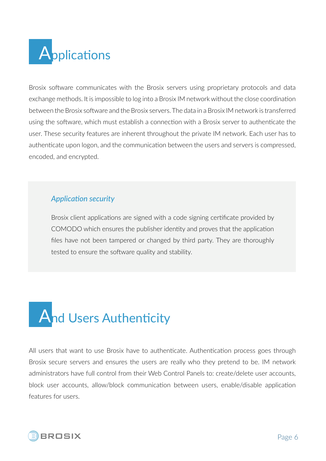<span id="page-5-0"></span>

Brosix software communicates with the Brosix servers using proprietary protocols and data exchange methods. It is impossible to log into a Brosix IM network without the close coordination between the Brosix software and the Brosix servers. The data in a Brosix IM network is transferred using the software, which must establish a connection with a Brosix server to authenticate the user. These security features are inherent throughout the private IM network. Each user has to authenticate upon logon, and the communication between the users and servers is compressed, encoded, and encrypted.

#### *Application security*

Brosix client applications are signed with a code signing certificate provided by COMODO which ensures the publisher identity and proves that the application files have not been tampered or changed by third party. They are thoroughly tested to ensure the software quality and stability.

# **And Users Authenticity**

All users that want to use Brosix have to authenticate. Authentication process goes through Brosix secure servers and ensures the users are really who they pretend to be. IM network administrators have full control from their Web Control Panels to: create/delete user accounts, block user accounts, allow/block communication between users, enable/disable application features for users.

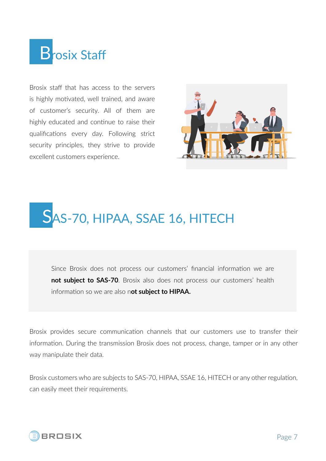## <span id="page-6-0"></span>**B**rosix Staff

Brosix staff that has access to the servers is highly motivated, well trained, and aware of customer's security. All of them are highly educated and continue to raise their qualifications every day. Following strict security principles, they strive to provide excellent customers experience.



### SAS-70, HIPAA, SSAE 16, HITECH

Since Brosix does not process our customers' financial information we are **not subject to SAS-70**. Brosix also does not process our customers' health information so we are also n**ot subject to HIPAA.**

Brosix provides secure communication channels that our customers use to transfer their information. During the transmission Brosix does not process, change, tamper or in any other way manipulate their data.

Brosix customers who are subjects to SAS-70, HIPAA, SSAE 16, HITECH or any other regulation, can easily meet their requirements.

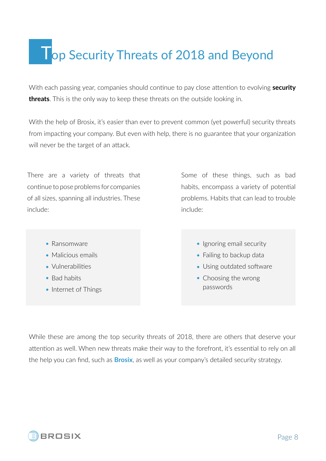### <span id="page-7-0"></span>**Top Security Threats of 2018 and Beyond**

With each passing year, companies should continue to pay close attention to evolving **security threats**. This is the only way to keep these threats on the outside looking in.

With the help of Brosix, it's easier than ever to prevent common (yet powerful) security threats from impacting your company. But even with help, there is no guarantee that your organization will never be the target of an attack.

There are a variety of threats that continue to pose problems for companies of all sizes, spanning all industries. These include:

Some of these things, such as bad habits, encompass a variety of potential problems. Habits that can lead to trouble include:

- Ransomware
- Malicious emails
- Vulnerabilities
- Bad habits
- Internet of Things

• Ignoring email security

- Failing to backup data
- Using outdated software
- Choosing the wrong passwords

While these are among the top security threats of 2018, there are others that deserve your attention as well. When new threats make their way to the forefront, it's essential to rely on all the help you can find, such as **Brosix**, as well as your company's detailed security strategy.